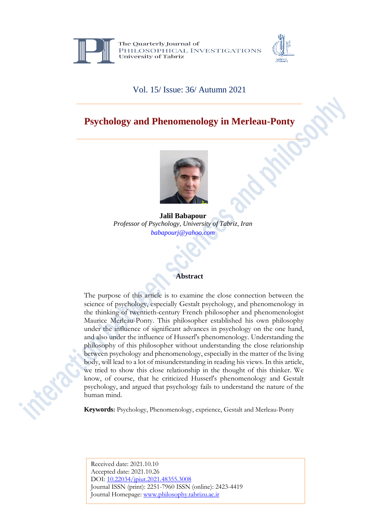

The Quarterly Journal of PHILOSOPHICAL INVESTIGATIONS University of Tabriz



## Vol. 15/ Issue: 36/ Autumn 2021

# **Psychology and Phenomenology in Merleau-Ponty**



**Jalil Babapour** *Professor of Psychology, University of Tabriz, Iran [babapourj@yahoo.com](mailto:babapourj@yahoo.com)*

### **Abstract**

The purpose of this article is to examine the close connection between the science of psychology, especially Gestalt psychology, and phenomenology in the thinking of twentieth-century French philosopher and phenomenologist Maurice Merleau-Ponty. This philosopher established his own philosophy under the influence of significant advances in psychology on the one hand, and also under the influence of Husserl's phenomenology. Understanding the philosophy of this philosopher without understanding the close relationship between psychology and phenomenology, especially in the matter of the living body, will lead to a lot of misunderstanding in reading his views. In this article, we tried to show this close relationship in the thought of this thinker. We know, of course, that he criticized Husserl's phenomenology and Gestalt psychology, and argued that psychology fails to understand the nature of the human mind.

**Keywords:** Psychology, Phenomenology, exprience, Gestalt and Merleau-Ponty

Received date: 2021.10.10 Accepted date: 2021.10.26 DOI: 10.22034/jpiut.2021.48355.3008 Journal ISSN (print): 2251-7960 ISSN (online): 2423-4419 Journal Homepage: [www.philosophy.tabrizu.ac.ir](http://www.philosophy.tabrizu.ac.ir/)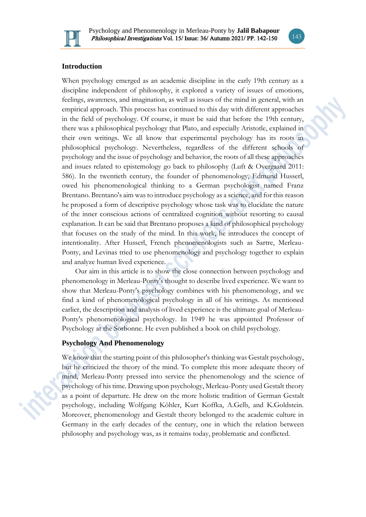

### **Introduction**

When psychology emerged as an academic discipline in the early 19th century as a discipline independent of philosophy, it explored a variety of issues of emotions, feelings, awareness, and imagination, as well as issues of the mind in general, with an empirical approach. This process has continued to this day with different approaches in the field of psychology. Of course, it must be said that before the 19th century, there was a philosophical psychology that Plato, and especially Aristotle, explained in their own writings. We all know that experimental psychology has its roots in philosophical psychology. Nevertheless, regardless of the different schools of psychology and the issue of psychology and behavior, the roots of all these approaches and issues related to epistemology go back to philosophy (Luft & Overgaard 2011: 586). In the twentieth century, the founder of phenomenology, Edmund Husserl, owed his phenomenological thinking to a German psychologist named Franz Brentano. Brentano's aim was to introduce psychology as a science, and for this reason he proposed a form of descriptive psychology whose task was to elucidate the nature of the inner conscious actions of centralized cognition without resorting to causal explanation. It can be said that Brentano proposes a kind of philosophical psychology that focuses on the study of the mind. In this work, he introduces the concept of intentionality. After Husserl, French phenomenologists such as Sartre, Merleau-Ponty, and Levinas tried to use phenomenology and psychology together to explain and analyze human lived experience.

Our aim in this article is to show the close connection between psychology and phenomenology in Merleau-Ponty's thought to describe lived experience. We want to show that Merleau-Ponty's psychology combines with his phenomenology, and we find a kind of phenomenological psychology in all of his writings. As mentioned earlier, the description and analysis of lived experience is the ultimate goal of Merleau-Ponty's phenomenological psychology. In 1949 he was appointed Professor of Psychology at the Sorbonne. He even published a book on child psychology.

#### **Psychology And Phenomenology**



We know that the starting point of this philosopher's thinking was Gestalt psychology, but he criticized the theory of the mind. To complete this more adequate theory of mind, Merleau-Ponty pressed into service the phenomenology and the science of psychology of his time. Drawing upon psychology, Merleau-Ponty used Gestalt theory as a point of departure. He drew on the more holistic tradition of German Gestalt psychology, including Wolfgang Köhler, Kurt Koffka, A.Gelb, and K.Goldstein. Moreover, phenomenology and Gestalt theory belonged to the academic culture in Germany in the early decades of the century, one in which the relation between philosophy and psychology was, as it remains today, problematic and conflicted.

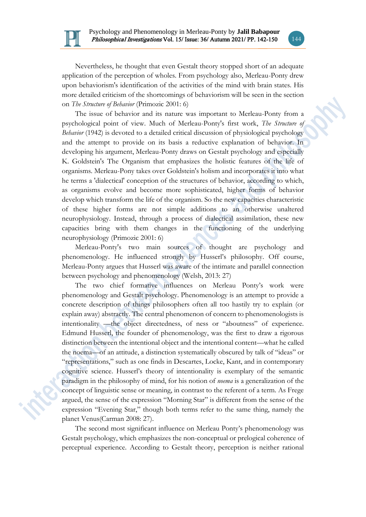

Nevertheless, he thought that even Gestalt theory stopped short of an adequate application of the perception of wholes. From psychology also, Merleau-Ponty drew upon behaviorism's identification of the activities of the mind with brain states. His more detailed criticism of the shortcomings of behaviorism will be seen in the section on *The Structure of Behavior* (Primozic 2001: 6)

The issue of behavior and its nature was important to Merleau-Ponty from a psychological point of view. Much of Merleau-Ponty's first work, *The Structure of Behavior* (1942) is devoted to a detailed critical discussion of physiological psychology and the attempt to provide on its basis a reductive explanation of behavior. In developing his argument, Merleau-Ponty draws on Gestalt psychology and especially K. Goldstein's The Organism that emphasizes the holistic features of the life of organisms. Merleau-Pony takes over Goldstein's holism and incorporates it into what he terms a 'dialectical' conception of the structures of behavior, according to which, as organisms evolve and become more sophisticated, higher forms of behavior develop which transform the life of the organism. So the new capacities characteristic of these higher forms are not simple additions to an otherwise unaltered neurophysiology. Instead, through a process of dialectical assimilation, these new capacities bring with them changes in the functioning of the underlying neurophysiology (Primozic 2001: 6)

Merleau-Ponty's two main sources of thought are psychology and phenomenology. He influenced strongly by Husserl's philosophy. Off course, Merleau-Ponty argues that Husserl was aware of the intimate and parallel connection between psychology and phenomenology (Welsh, 2013: 27)

The two chief formative influences on Merleau Ponty's work were phenomenology and Gestalt psychology. Phenomenology is an attempt to provide a concrete description of things philosophers often all too hastily try to explain (or explain away) abstractly. The central phenomenon of concern to phenomenologists is intentionality —the object directedness, of ness or "aboutness" of experience. Edmund Husserl, the founder of phenomenology, was the first to draw a rigorous distinction between the intentional object and the intentional content—what he called the noema—of an attitude, a distinction systematically obscured by talk of "ideas" or "representations," such as one finds in Descartes, Locke, Kant, and in contemporary cognitive science. Husserl's theory of intentionality is exemplary of the semantic paradigm in the philosophy of mind, for his notion of *noema* is a generalization of the concept of linguistic sense or meaning, in contrast to the referent of a term. As Frege argued, the sense of the expression "Morning Star" is different from the sense of the expression "Evening Star," though both terms refer to the same thing, namely the planet Venus(Carman 2008: 27).

The second most significant influence on Merleau Ponty's phenomenology was Gestalt psychology, which emphasizes the non-conceptual or prelogical coherence of perceptual experience. According to Gestalt theory, perception is neither rational

144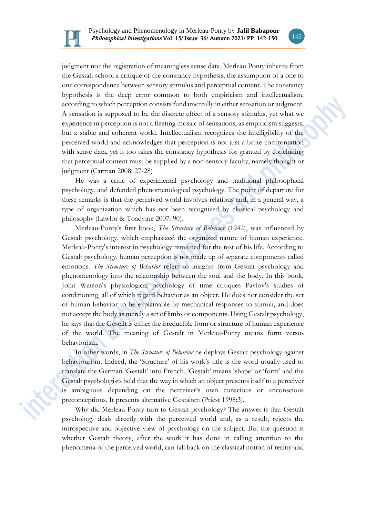145

judgment nor the registration of meaningless sense data. Merleau Ponty inherits from the Gestalt school a critique of the constancy hypothesis, the assumption of a one to one correspondence between sensory stimulus and perceptual content. The constancy hypothesis is the deep error common to both empiricism and intellectualism, according to which perception consists fundamentally in either sensation or judgment. A sensation is supposed to be the discrete effect of a sensory stimulus, yet what we experience in perception is not a fleeting mosaic of sensations, as empiricism suggests, but a stable and coherent world. Intellectualism recognizes the intelligibility of the perceived world and acknowledges that perception is not just a brute confrontation with sense data, yet it too takes the constancy hypothesis for granted by concluding that perceptual content must be supplied by a non-sensory faculty, namely thought or judgment (Carman 2008: 27-28)

He was a critic of experimental psychology and traditional philosophical psychology, and defended phenomenological psychology. The point of departure for these remarks is that the perceived world involves relations and, in a general way, a type of organization which has not been recognized by classical psychology and philosophy (Lawlor & Toadvine 2007: 90).

Merleau-Ponty's first book, *The Structure of Behavior* (1942), was influenced by Gestalt psychology, which emphasized the organized nature of human experience. Merleau-Ponty's interest in psychology remained for the rest of his life. According to Gestalt psychology, human perception is not made up of separate components called emotions. *The Structure of Behavior* refers to insights from Gestalt psychology and phenomenology into the relationship between the soul and the body. In this book, John Watson's physiological psychology of time critiques Pavlov's studies of conditioning, all of which regard behavior as an object. He does not consider the set of human behavior to be explainable by mechanical responses to stimuli, and does not accept the body as merely a set of limbs or components. Using Gestalt psychology, he says that the Gestalt is either the irreducible form or structure of human experience of the world. The meaning of Gestalt in Merleau-Ponty means form versus behaviorism.

In other words, in *The Structure of Behavior* he deploys Gestalt psychology against behaviourism. Indeed, the 'Structure' of his work's title is the word usually used to translate the German 'Gestalt' into French. 'Gestalt' means 'shape' or 'form' and the Gestalt psychologists held that the way in which an object presents itself to a perceiver is ambiguous depending on the perceiver's own conscious or unconscious preconceptions. It presents alternative Gestalten (Priest 1998:3).

Why did Merleau-Ponty turn to Gestalt psychology? The answer is that Gestalt psychology deals directly with the perceived world and, as a result, rejects the introspective and objective view of psychology on the subject. But the question is whether Gestalt theory, after the work it has done in calling attention to the phenomena of the perceived world, can fall back on the classical notion of reality and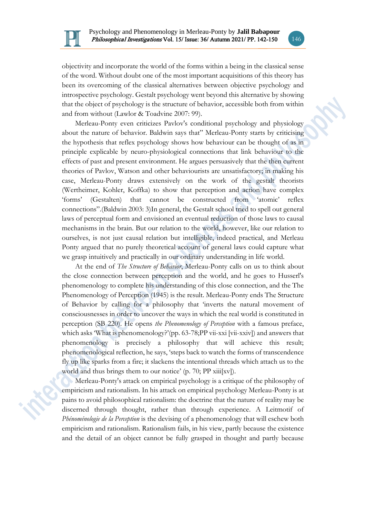

objectivity and incorporate the world of the forms within a being in the classical sense of the word. Without doubt one of the most important acquisitions of this theory has been its overcoming of the classical alternatives between objective psychology and introspective psychology. Gestalt psychology went beyond this alternative by showing that the object of psychology is the structure of behavior, accessible both from within and from without (Lawlor & Toadvine 2007: 99).

Merleau-Ponty even criticizes Pavlov's conditional psychology and physiology about the nature of behavior. Baldwin says that" Merleau-Ponty starts by criticising the hypothesis that reflex psychology shows how behaviour can be thought of as in principle explicable by neuro-physiological connections that link behaviour to the effects of past and present environment. He argues persuasively that the then current theories of Pavlov, Watson and other behaviourists are unsatisfactory; in making his case, Merleau-Ponty draws extensively on the work of the gestalt theorists (Wertheimer, Kohler, Koffka) to show that perception and action have complex 'forms' (Gestalten) that cannot be constructed from 'atomic' reflex connections".(Baldwin 2003: 3)In general, the Gestalt school tried to spell out general laws of perceptual form and envisioned an eventual reduction of those laws to causal mechanisms in the brain. But our relation to the world, however, like our relation to ourselves, is not just causal relation but intelligible, indeed practical, and Merleau Ponty argued that no purely theoretical account of general laws could capture what we grasp intuitively and practically in our ordinary understanding in life world.

At the end of *The Structure of Behavior*, Merleau-Ponty calls on us to think about the close connection between perception and the world, and he goes to Husserl's phenomenology to complete his understanding of this close connection, and the The Phenomenology of Perception (1945) is the result. Merleau-Ponty ends The Structure of Behavior by calling for a philosophy that 'inverts the natural movement of consciousnesses in order to uncover the ways in which the real world is constituted in perception (SB 220). He opens *the Phenomenology of Perception* with a famous preface, which asks 'What is phenomenology?'(pp. 63-78;PP vii-xxi [vii-xxiv]) and answers that phenomenology is precisely a philosophy that will achieve this result; phenomenological reflection, he says, 'steps back to watch the forms of transcendence fly up like sparks from a fire; it slackens the intentional threads which attach us to the world and thus brings them to our notice' (p. 70; PP xiii[xv]).

Merleau-Ponty's attack on empirical psychology is a critique of the philosophy of empiricism and rationalism. In his attack on empirical psychology Merleau-Ponty is at pains to avoid philosophical rationalism: the doctrine that the nature of reality may be discerned through thought, rather than through experience. A Leitmotif of *Phénoménologie de la Perception* is the devising of a phenomenology that will eschew both empiricism and rationalism. Rationalism fails, in his view, partly because the existence and the detail of an object cannot be fully grasped in thought and partly because

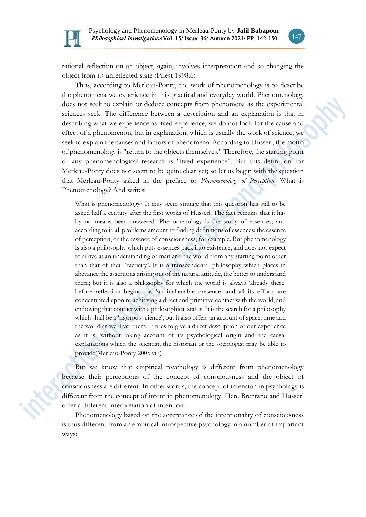



rational reflection on an object, again, involves interpretation and so changing the object from its unreflected state (Priest 1998:6)

Thus, according to Merleau-Ponty, the work of phenomenology is to describe the phenomena we experience in this practical and everyday world. Phenomenology does not seek to explain or deduce concepts from phenomena as the experimental sciences seek. The difference between a description and an explanation is that in describing what we experience as lived experience, we do not look for the cause and effect of a phenomenon; but in explanation, which is usually the work of science, we seek to explain the causes and factors of phenomena. According to Husserl, the motto of phenomenology is "return to the objects themselves." Therefore, the starting point of any phenomenological research is "lived experience". But this definition for Merleau-Ponty does not seem to be quite clear yet; so let us begin with the question that Merleau-Ponty asked in the preface to *Phenomenology of Perception*: What is Phenomenology? And writes:

What is phenomenology? It may seem strange that this question has still to be asked half a century after the first works of Husserl. The fact remains that it has by no means been answered. Phenomenology is the study of essences; and according to it, all problems amount to finding definitions of essences: the essence of perception, or the essence of consciousness, for example. But phenomenology is also a philosophy which puts essences back into existence, and does not expect to arrive at an understanding of man and the world from any starting point other than that of their 'facticity'. It is a transcendental philosophy which places in abeyance the assertions arising out of the natural attitude, the better to understand them; but it is also a philosophy for which the world is always 'already there' before reflection begins—as 'an inalienable presence; and all its efforts are concentrated upon re-achieving a direct and primitive contact with the world, and endowing that contact with a philosophical status. It is the search for a philosophy which shall be a 'rigorous science', but it also offers an account of space, time and the world as we 'live' them. It tries to give a direct description of our experience as it is, without taking account of its psychological origin and the causal explanations which the scientist, the historian or the sociologist may be able to provide(Merleau-Ponty 2005:viii)

But we know that empirical psychology is different from phenomenology because their perceptions of the concept of consciousness and the object of consciousness are different. In other words, the concept of intension in psychology is different from the concept of intent in phenomenology. Here Brentano and Husserl offer a different interpretation of intention.

Phenomenology based on the acceptance of the intentionality of consciousness is thus different from an empirical introspective psychology in a number of important ways: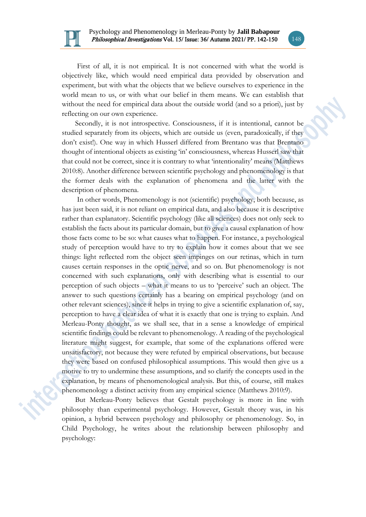

First of all, it is not empirical. It is not concerned with what the world is objectively like, which would need empirical data provided by observation and experiment, but with what the objects that we believe ourselves to experience in the world mean to us, or with what our belief in them means. We can establish that without the need for empirical data about the outside world (and so a priori), just by reflecting on our own experience.

Secondly, it is not introspective. Consciousness, if it is intentional, cannot be studied separately from its objects, which are outside us (even, paradoxically, if they don't exist!). One way in which Husserl differed from Brentano was that Brentano thought of intentional objects as existing 'in' consciousness, whereas Husserl saw that that could not be correct, since it is contrary to what 'intentionality' means (Matthews 2010:8). Another difference between scientific psychology and phenomenology is that the former deals with the explanation of phenomena and the latter with the description of phenomena.

In other words, Phenomenology is not (scientific) psychology, both because, as has just been said, it is not reliant on empirical data, and also because it is descriptive rather than explanatory. Scientific psychology (like all sciences) does not only seek to establish the facts about its particular domain, but to give a causal explanation of how those facts come to be so: what causes what to happen. For instance, a psychological study of perception would have to try to explain how it comes about that we see things: light reflected rom the object seen impinges on our retinas, which in turn causes certain responses in the optic nerve, and so on. But phenomenology is not concerned with such explanations, only with describing what is essential to our perception of such objects – what it means to us to 'perceive' such an object. The answer to such questions certainly has a bearing on empirical psychology (and on other relevant sciences), since it helps in trying to give a scientific explanation of, say, perception to have a clear idea of what it is exactly that one is trying to explain. And Merleau-Ponty thought, as we shall see, that in a sense a knowledge of empirical scientific findings could be relevant to phenomenology. A reading of the psychological literature might suggest, for example, that some of the explanations offered were unsatisfactory, not because they were refuted by empirical observations, but because they were based on confused philosophical assumptions. This would then give us a motive to try to undermine these assumptions, and so clarify the concepts used in the explanation, by means of phenomenological analysis. But this, of course, still makes phenomenology a distinct activity from any empirical science (Matthews 2010:9).

But Merleau-Ponty believes that Gestalt psychology is more in line with philosophy than experimental psychology. However, Gestalt theory was, in his opinion, a hybrid between psychology and philosophy or phenomenology. So, in Child Psychology, he writes about the relationship between philosophy and psychology:

148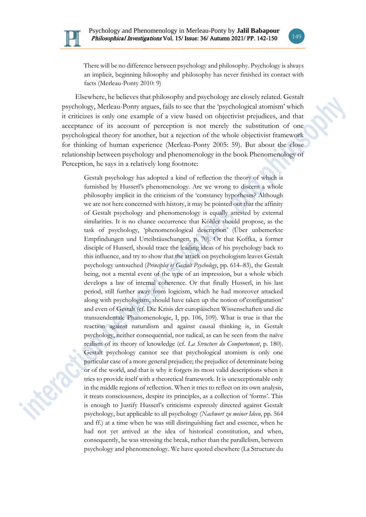

There will be no difference between psychology and philosophy. Psychology is always an implicit, beginning hilosophy and philosophy has never finished its contact with facts (Merleau-Ponty 2010: 9)

Elsewhere, he believes that philosophy and psychology are closely related. Gestalt psychology, Merleau-Ponty argues, fails to see that the 'psychological atomism' which it criticizes is only one example of a view based on objectivist prejudices, and that acceptance of its account of perception is not merely the substitution of one psychological theory for another, but a rejection of the whole objectivist framework for thinking of human experience (Merleau-Ponty 2005: 59). But about the close relationship between psychology and phenomenology in the book Phenomenology of Perception, he says in a relatively long footnote:

Gestalt psychology has adopted a kind of reflection the theory of which is furnished by Husserl's phenomenology. Are we wrong to discern a whole philosophy implicit in the criticism of the 'constancy hypotheses? Although we are not here concerned with history, it may be pointed out that the affinity of Gestalt psychology and phenomenology is equally attested by external similarities. It is no chance occurrence that Köhler should propose, as the task of psychology, 'phenomenological description' (Über unbemerkte Empfindungen und Urteilstäuschungen, p. 70). Or that Koffka, a former disciple of Husserl, should trace the leading ideas of his psychology back to this influence, and try to show that the attack on psychologism leaves Gestalt psychology untouched (*Principles of Gestalt Psychology*, pp. 614–83), the Gestalt being, not a mental event of the type of an impression, but a whole which develops a law of internal coherence. Or that finally Husserl, in his last period, still further away from logicism, which he had moreover attacked along with psychologism, should have taken up the notion of'configuration' and even of Gestalt (cf. Die Krisis der europäischen Wissenschaften und die transzendentale Phanomenologie, I, pp. 106, 109). What is true is that the reaction against naturalism and against causal thinking is, in Gestalt psychology, neither consequential, nor radical, as can be seen from the naïve realism of its theory of knowledge (cf. *La Structure du Comportement*, p. 180). Gestalt psychology cannot see that psychological atomism is only one particular case of a more general prejudice; the prejudice of determinate being or of the world, and that is why it forgets its most valid descriptions when it tries to provide itself with a theoretical framework. It is unexceptionable only in the middle regions of reflection. When it tries to reflect on its own analysis, it treats consciousness, despite its principles, as a collection of 'forms'. This is enough to Justify Husserl's criticisms expressly directed against Gestalt psychology, but applicable to all psychology (*Nachwort zu meiner Ideen*, pp. 564 and ff.) at a time when he was still distinguishing fact and essence, when he had not yet arrived at the idea of historical constitution, and when, consequently, he was stressing the break, rather than the parallelism, between psychology and phenomenology. We have quoted elsewhere (La Structure du 149